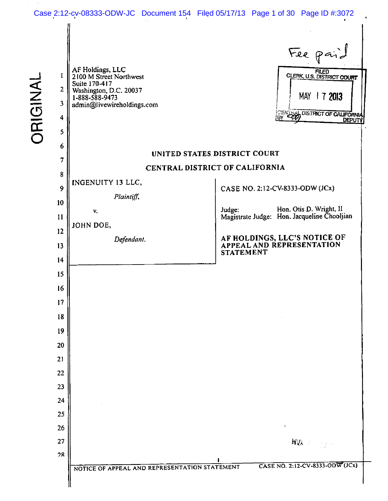ORIGINAL

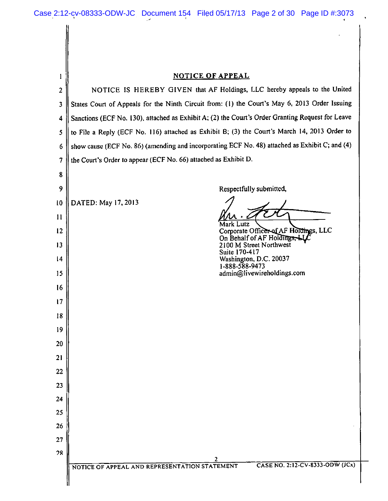$\mathcal{A}$ 

| 1              | <b>NOTICE OF APPEAL</b>                                                                          |  |  |  |  |  |
|----------------|--------------------------------------------------------------------------------------------------|--|--|--|--|--|
| $\overline{2}$ | NOTICE IS HEREBY GIVEN that AF Holdings, LLC hereby appeals to the United                        |  |  |  |  |  |
| 3              | States Court of Appeals for the Ninth Circuit from: (1) the Court's May 6, 2013 Order Issuing    |  |  |  |  |  |
| 4              | Sanctions (ECF No. 130), attached as Exhibit A; (2) the Court's Order Granting Request for Leave |  |  |  |  |  |
| 5              | to File a Reply (ECF No. 116) attached as Exhibit B; (3) the Court's March 14, 2013 Order to     |  |  |  |  |  |
| 6              | show cause (ECF No. 86) (amending and incorporating ECF No. 48) attached as Exhibit C; and (4)   |  |  |  |  |  |
| 7              | the Court's Order to appear (ECF No. 66) attached as Exhibit D.                                  |  |  |  |  |  |
| 8              |                                                                                                  |  |  |  |  |  |
| 9              | Respectfully submitted,                                                                          |  |  |  |  |  |
| 10             | DATED: May 17, 2013                                                                              |  |  |  |  |  |
| $\mathbf{11}$  | .utz                                                                                             |  |  |  |  |  |
| 12             | Corporate Officer of AF Holdings, LLC<br>On Behalf of AF Holdings, L                             |  |  |  |  |  |
| 13             | 2100 M Street Northwest<br>Suite 170-417                                                         |  |  |  |  |  |
| 4              | Washington, D.C. 20037<br>1-888-588-9473                                                         |  |  |  |  |  |
| 15             | admin@livewireholdings.com                                                                       |  |  |  |  |  |
| 16             |                                                                                                  |  |  |  |  |  |
| 17             |                                                                                                  |  |  |  |  |  |
| 18             |                                                                                                  |  |  |  |  |  |
| 19             |                                                                                                  |  |  |  |  |  |
| 20             |                                                                                                  |  |  |  |  |  |
| 21             |                                                                                                  |  |  |  |  |  |
| 22             |                                                                                                  |  |  |  |  |  |
| 23             |                                                                                                  |  |  |  |  |  |
| 24<br>25       |                                                                                                  |  |  |  |  |  |
| 26             |                                                                                                  |  |  |  |  |  |
| 27             |                                                                                                  |  |  |  |  |  |
| 28             |                                                                                                  |  |  |  |  |  |
|                | 2<br>CASE NO. 2:12-CV-8333-ODW (JCx)<br>NOTICE OF APPEAL AND REPRESENTATION STATEMENT            |  |  |  |  |  |
|                |                                                                                                  |  |  |  |  |  |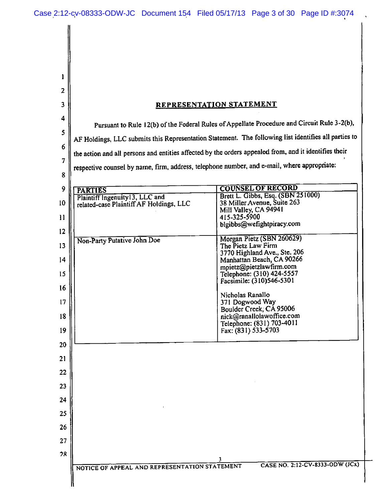║

| 1              |                                                                                                                                                                                                               |  |  |  |  |  |
|----------------|---------------------------------------------------------------------------------------------------------------------------------------------------------------------------------------------------------------|--|--|--|--|--|
| $\overline{2}$ |                                                                                                                                                                                                               |  |  |  |  |  |
| 3              | <b>REPRESENTATION STATEMENT</b>                                                                                                                                                                               |  |  |  |  |  |
| 4              | Pursuant to Rule 12(b) of the Federal Rules of Appellate Procedure and Circuit Rule 3-2(b),                                                                                                                   |  |  |  |  |  |
| 5              | AF Holdings, LLC submits this Representation Statement. The following list identifies all parties to<br>the action and all persons and entities affected by the orders appealed from, and it identifies their |  |  |  |  |  |
| 6              |                                                                                                                                                                                                               |  |  |  |  |  |
| 7<br>8         | respective counsel by name, firm, address, telephone number, and e-mail, where appropriate:                                                                                                                   |  |  |  |  |  |
| 9              | <b>COUNSEL OF RECORD</b><br><b>PARTIES</b>                                                                                                                                                                    |  |  |  |  |  |
| 10             | Brett L. Gibbs, Esq. (SBN 251000)<br>Plaintiff Ingenuity13, LLC and<br>38 Miller Avenue, Suite 263<br>related-case Plaintiff AF Holdings, LLC<br>Mill Valley, CA 94941                                        |  |  |  |  |  |
| $\mathbf{11}$  | 415-325-5900<br>blgibbs@wefightpiracy.com                                                                                                                                                                     |  |  |  |  |  |
| 12             | Morgan Pietz (SBN 260629)<br>Non-Party Putative John Doe                                                                                                                                                      |  |  |  |  |  |
| 13             | The Pietz Law Firm<br>3770 Highland Ave., Ste. 206                                                                                                                                                            |  |  |  |  |  |
| 14             | Manhattan Beach, CA 90266<br>mpietz@pietzlawfirm.com                                                                                                                                                          |  |  |  |  |  |
| 15<br>16       | Telephone: (310) 424-5557<br>Facsimile: (310)546-5301                                                                                                                                                         |  |  |  |  |  |
| 17             | Nicholas Ranallo<br>371 Dogwood Way                                                                                                                                                                           |  |  |  |  |  |
| 18             | Boulder Creek, CA 95006<br>nick@ranallolawoffice.com                                                                                                                                                          |  |  |  |  |  |
| 19             | Telephone: (831) 703-4011<br>Fax: (831) 533-5703                                                                                                                                                              |  |  |  |  |  |
| 20             |                                                                                                                                                                                                               |  |  |  |  |  |
| 21             |                                                                                                                                                                                                               |  |  |  |  |  |
| 22             |                                                                                                                                                                                                               |  |  |  |  |  |
| 23             |                                                                                                                                                                                                               |  |  |  |  |  |
| 24             |                                                                                                                                                                                                               |  |  |  |  |  |
| 25             |                                                                                                                                                                                                               |  |  |  |  |  |
| 26             |                                                                                                                                                                                                               |  |  |  |  |  |
| 27             |                                                                                                                                                                                                               |  |  |  |  |  |
| 28             |                                                                                                                                                                                                               |  |  |  |  |  |
|                | CASE NO. 2:12-CV-8333-ODW (JCx)<br>NOTICE OF APPEAL AND REPRESENTATION STATEMENT                                                                                                                              |  |  |  |  |  |
|                |                                                                                                                                                                                                               |  |  |  |  |  |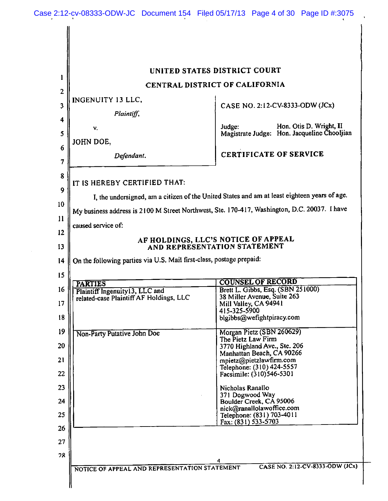$\ddot{\phantom{0}}$ 

|                                                                      | UNITED STATES DISTRICT COURT                                                                              |  |  |  |  |
|----------------------------------------------------------------------|-----------------------------------------------------------------------------------------------------------|--|--|--|--|
|                                                                      |                                                                                                           |  |  |  |  |
| CENTRAL DISTRICT OF CALIFORNIA                                       |                                                                                                           |  |  |  |  |
| INGENUITY 13 LLC,<br>Plaintiff,                                      | CASE NO. 2:12-CV-8333-ODW (JCx)                                                                           |  |  |  |  |
| V.<br>JOHN DOE,                                                      | Hon. Otis D. Wright, II<br>Judge:<br>Magistrate Judge: Hon. Jacqueline Chooljian                          |  |  |  |  |
| Defendant.                                                           | CERTIFICATE OF SERVICE                                                                                    |  |  |  |  |
| IT IS HEREBY CERTIFIED THAT:                                         |                                                                                                           |  |  |  |  |
|                                                                      | I, the undersigned, am a citizen of the United States and am at least eighteen years of age.              |  |  |  |  |
|                                                                      | My business address is 2100 M Street Northwest, Ste. 170-417, Washington, D.C. 20037. I have              |  |  |  |  |
| caused service of:                                                   |                                                                                                           |  |  |  |  |
| AF HOLDINGS, LLC'S NOTICE OF APPEAL<br>AND REPRESENTATION STATEMENT  |                                                                                                           |  |  |  |  |
| On the following parties via U.S. Mail first-class, postage prepaid: |                                                                                                           |  |  |  |  |
|                                                                      |                                                                                                           |  |  |  |  |
| <b>PARTIES</b>                                                       | <b>COUNSEL OF RECORD</b>                                                                                  |  |  |  |  |
| Plaintiff Ingenuity13, LLC and                                       |                                                                                                           |  |  |  |  |
| related-case Plaintiff AF Holdings, LLC                              | Brett L. Gibbs, Esq. (SBN 251000)<br>38 Miller Avenue, Suite 263<br>Mill Valley, CA 94941<br>415-325-5900 |  |  |  |  |
|                                                                      | blgibbs@wefightpiracy.com                                                                                 |  |  |  |  |
| Non-Party Putative John Doe                                          | Morgan Pietz (SBN 260629)<br>The Pietz Law Firm<br>3770 Highland Ave., Ste. 206                           |  |  |  |  |
|                                                                      | Manhattan Beach, CA 90266<br>mpietz@pietzlawfirm.com<br>Telephone: (310) 424-5557                         |  |  |  |  |
|                                                                      | Facsimile: (310)546-5301                                                                                  |  |  |  |  |
|                                                                      | Nicholas Ranallo<br>371 Dogwood Way                                                                       |  |  |  |  |
|                                                                      | Boulder Creek, CA 95006<br>nick@ranallolawoffice.com                                                      |  |  |  |  |
|                                                                      | Telephone: (831) 703-4011<br>Fax: (831) 533-5703                                                          |  |  |  |  |
|                                                                      |                                                                                                           |  |  |  |  |
|                                                                      |                                                                                                           |  |  |  |  |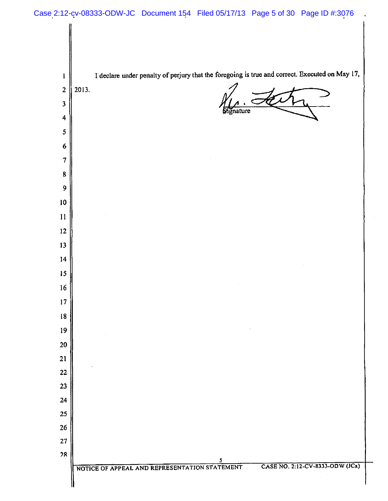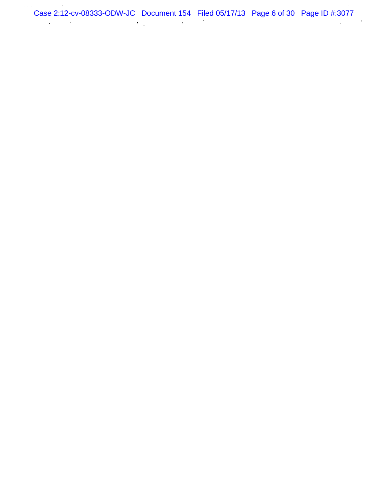Case 2:12-cv-08333-ODW-JC Document 154 Filed 05/17/13 Page 6 of 30 Page ID #:3077

 $\sim 10^6$ 

 $\alpha$  and  $\alpha$  and  $\alpha$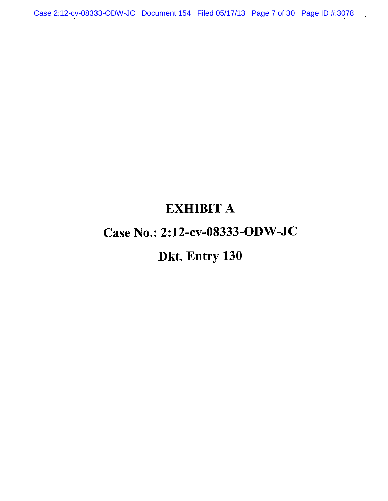Case 2:12-cv-08333-ODW-JC Document 154 Filed 05/17/13 Page 7 of 30 Page ID #:3078

# **EXHIBIT A** Case No.: 2:12-cv-08333-ODW-JC Dkt. Entry 130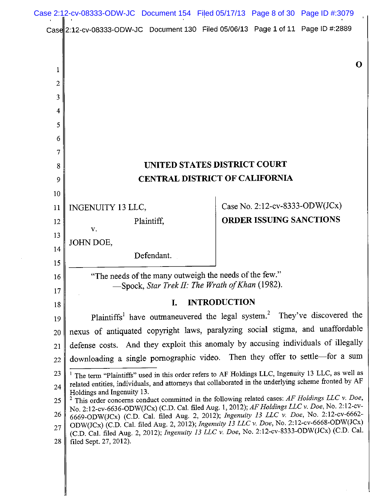|                                                                                                                                                    | Case 2:12-cv-08333-ODW-JC Document 154 Filed 05/17/13 Page 8 of 30 Page ID #:3079                                                                                                                            |                                       |  |                                |                                                                                                  |  |  |
|----------------------------------------------------------------------------------------------------------------------------------------------------|--------------------------------------------------------------------------------------------------------------------------------------------------------------------------------------------------------------|---------------------------------------|--|--------------------------------|--------------------------------------------------------------------------------------------------|--|--|
|                                                                                                                                                    | Case 2:12-cv-08333-ODW-JC Document 130 Filed 05/06/13 Page 1 of 11 Page ID #:2889                                                                                                                            |                                       |  |                                |                                                                                                  |  |  |
|                                                                                                                                                    |                                                                                                                                                                                                              |                                       |  |                                |                                                                                                  |  |  |
|                                                                                                                                                    |                                                                                                                                                                                                              |                                       |  |                                | O                                                                                                |  |  |
| 1                                                                                                                                                  |                                                                                                                                                                                                              |                                       |  |                                |                                                                                                  |  |  |
| $\overline{2}$                                                                                                                                     |                                                                                                                                                                                                              |                                       |  |                                |                                                                                                  |  |  |
| 3                                                                                                                                                  |                                                                                                                                                                                                              |                                       |  |                                |                                                                                                  |  |  |
| 4                                                                                                                                                  |                                                                                                                                                                                                              |                                       |  |                                |                                                                                                  |  |  |
| 5                                                                                                                                                  |                                                                                                                                                                                                              |                                       |  |                                |                                                                                                  |  |  |
| 6                                                                                                                                                  |                                                                                                                                                                                                              |                                       |  |                                |                                                                                                  |  |  |
| 7                                                                                                                                                  |                                                                                                                                                                                                              |                                       |  |                                |                                                                                                  |  |  |
| 8                                                                                                                                                  |                                                                                                                                                                                                              | UNITED STATES DISTRICT COURT          |  |                                |                                                                                                  |  |  |
| 9                                                                                                                                                  |                                                                                                                                                                                                              | <b>CENTRAL DISTRICT OF CALIFORNIA</b> |  |                                |                                                                                                  |  |  |
| 10                                                                                                                                                 |                                                                                                                                                                                                              |                                       |  | Case No. 2:12-cv-8333-ODW(JCx) |                                                                                                  |  |  |
| 11                                                                                                                                                 | INGENUITY 13 LLC,                                                                                                                                                                                            |                                       |  | <b>ORDER ISSUING SANCTIONS</b> |                                                                                                  |  |  |
| 12                                                                                                                                                 | V.                                                                                                                                                                                                           | Plaintiff,                            |  |                                |                                                                                                  |  |  |
| 13<br>14                                                                                                                                           | JOHN DOE,                                                                                                                                                                                                    |                                       |  |                                |                                                                                                  |  |  |
| 15                                                                                                                                                 |                                                                                                                                                                                                              | Defendant.                            |  |                                |                                                                                                  |  |  |
| 16                                                                                                                                                 |                                                                                                                                                                                                              |                                       |  |                                |                                                                                                  |  |  |
| "The needs of the many outweigh the needs of the few."<br>-Spock, Star Trek II: The Wrath of Khan (1982).<br>17<br><b>INTRODUCTION</b><br>I.<br>18 |                                                                                                                                                                                                              |                                       |  |                                |                                                                                                  |  |  |
|                                                                                                                                                    |                                                                                                                                                                                                              |                                       |  |                                |                                                                                                  |  |  |
| 19                                                                                                                                                 |                                                                                                                                                                                                              |                                       |  |                                | Plaintiffs <sup>1</sup> have outmaneuvered the legal system. <sup>2</sup> They've discovered the |  |  |
| 20                                                                                                                                                 | nexus of antiquated copyright laws, paralyzing social stigma, and unaffordable                                                                                                                               |                                       |  |                                |                                                                                                  |  |  |
| 21                                                                                                                                                 | defense costs. And they exploit this anomaly by accusing individuals of illegally                                                                                                                            |                                       |  |                                |                                                                                                  |  |  |
| 22                                                                                                                                                 | downloading a single pornographic video. Then they offer to settle-for a sum                                                                                                                                 |                                       |  |                                |                                                                                                  |  |  |
| 23<br><sup>1</sup> The term "Plaintiffs" used in this order refers to AF Holdings LLC, Ingenuity 13 LLC, as well as                                |                                                                                                                                                                                                              |                                       |  |                                |                                                                                                  |  |  |
| 24                                                                                                                                                 | related entities, individuals, and attorneys that collaborated in the underlying scheme fronted by AF<br>Holdings and Ingenuity 13.                                                                          |                                       |  |                                |                                                                                                  |  |  |
| 25                                                                                                                                                 | <sup>2</sup> This order concerns conduct committed in the following related cases: AF Holdings LLC v. Doe,<br>No. 2:12-cv-6636-ODW(JCx) (C.D. Cal. filed Aug. 1, 2012); AF Holdings LLC v. Doe, No. 2:12-cv- |                                       |  |                                |                                                                                                  |  |  |
| 26                                                                                                                                                 | 6669-ODW(JCx) (C.D. Cal. filed Aug. 2, 2012); Ingenuity 13 LLC v. Doe, No. 2:12-cv-6662-                                                                                                                     |                                       |  |                                |                                                                                                  |  |  |
| 27                                                                                                                                                 | ODW(JCx) (C.D. Cal. filed Aug. 2, 2012); Ingenuity 13 LLC v. Doe, No. 2:12-cv-6668-ODW(JCx)<br>(C.D. Cal. filed Aug. 2, 2012); Ingenuity 13 LLC v. Doe, No. 2:12-cv-8333-ODW(JCx) (C.D. Cal.                 |                                       |  |                                |                                                                                                  |  |  |
| 28                                                                                                                                                 | filed Sept. 27, 2012).                                                                                                                                                                                       |                                       |  |                                |                                                                                                  |  |  |
|                                                                                                                                                    |                                                                                                                                                                                                              |                                       |  |                                |                                                                                                  |  |  |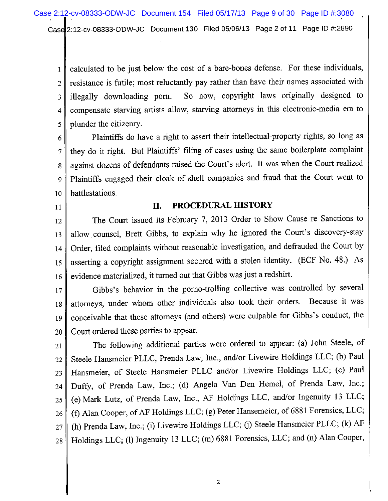calculated to be just below the cost of a bare-bones defense. For these individuals,  $\mathbf{1}$ resistance is futile; most reluctantly pay rather than have their names associated with  $\overline{2}$ illegally downloading porn. So now, copyright laws originally designed to 3 compensate starving artists allow, starving attorneys in this electronic-media era to  $\overline{4}$ 5 plunder the citizenry.

Plaintiffs do have a right to assert their intellectual-property rights, so long as 6 they do it right. But Plaintiffs' filing of cases using the same boilerplate complaint  $\overline{7}$ against dozens of defendants raised the Court's alert. It was when the Court realized 8 Plaintiffs engaged their cloak of shell companies and fraud that the Court went to  $\mathbf Q$ battlestations. 10

11

#### PROCEDURAL HISTORY **II.**

The Court issued its February 7, 2013 Order to Show Cause re Sanctions to  $12$ allow counsel, Brett Gibbs, to explain why he ignored the Court's discovery-stay 13 Order, filed complaints without reasonable investigation, and defrauded the Court by  $14$ asserting a copyright assignment secured with a stolen identity. (ECF No. 48.) As 15 evidence materialized, it turned out that Gibbs was just a redshirt. 16

Gibbs's behavior in the porno-trolling collective was controlled by several 17 attorneys, under whom other individuals also took their orders. Because it was 18 conceivable that these attorneys (and others) were culpable for Gibbs's conduct, the 19 Court ordered these parties to appear. 20

The following additional parties were ordered to appear: (a) John Steele, of 21 Steele Hansmeier PLLC, Prenda Law, Inc., and/or Livewire Holdings LLC; (b) Paul 22 Hansmeier, of Steele Hansmeier PLLC and/or Livewire Holdings LLC; (c) Paul 23 Duffy, of Prenda Law, Inc.; (d) Angela Van Den Hemel, of Prenda Law, Inc.; 24 (e) Mark Lutz, of Prenda Law, Inc., AF Holdings LLC, and/or Ingenuity 13 LLC; 25 (f) Alan Cooper, of AF Holdings LLC; (g) Peter Hansemeier, of 6881 Forensics, LLC; 26 (h) Prenda Law, Inc.; (i) Livewire Holdings LLC; (j) Steele Hansmeier PLLC; (k) AF  $27$ Holdings LLC; (l) Ingenuity 13 LLC; (m) 6881 Forensics, LLC; and (n) Alan Cooper, 28

 $\overline{2}$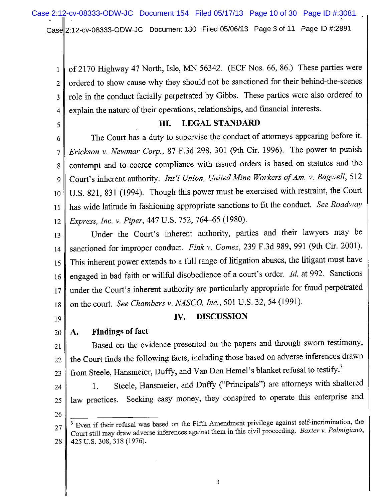of 2170 Highway 47 North, Isle, MN 56342. (ECF Nos. 66, 86.) These parties were  $\mathbf{1}$ ordered to show cause why they should not be sanctioned for their behind-the-scenes  $\overline{2}$ role in the conduct facially perpetrated by Gibbs. These parties were also ordered to  $\overline{3}$ explain the nature of their operations, relationships, and financial interests.  $\overline{\mathbf{4}}$ 

5

#### **LEGAL STANDARD** III.

The Court has a duty to supervise the conduct of attorneys appearing before it. 6 Erickson v. Newmar Corp., 87 F.3d 298, 301 (9th Cir. 1996). The power to punish  $\overline{7}$ contempt and to coerce compliance with issued orders is based on statutes and the 8 Court's inherent authority. Int'l Union, United Mine Workers of Am. v. Bagwell, 512 9 U.S. 821, 831 (1994). Though this power must be exercised with restraint, the Court  $10$ has wide latitude in fashioning appropriate sanctions to fit the conduct. See Roadway  $11$ Express, Inc. v. Piper, 447 U.S. 752, 764-65 (1980). 12

Under the Court's inherent authority, parties and their lawyers may be 13 sanctioned for improper conduct. Fink v. Gomez, 239 F.3d 989, 991 (9th Cir. 2001).  $14$ This inherent power extends to a full range of litigation abuses, the litigant must have 15 engaged in bad faith or willful disobedience of a court's order. Id. at 992. Sanctions 16 under the Court's inherent authority are particularly appropriate for fraud perpetrated  $17$ on the court. See Chambers v. NASCO, Inc., 501 U.S. 32, 54 (1991). 18

19

#### **DISCUSSION** IV.

**Findings of fact** 20 А.

Based on the evidence presented on the papers and through sworn testimony, 21 the Court finds the following facts, including those based on adverse inferences drawn 22 from Steele, Hansmeier, Duffy, and Van Den Hemel's blanket refusal to testify.<sup>3</sup> 23

Steele, Hansmeier, and Duffy ("Principals") are attorneys with shattered 1. 24 Seeking easy money, they conspired to operate this enterprise and law practices. 25 26

<sup>3</sup> Even if their refusal was based on the Fifth Amendment privilege against self-incrimination, the 27 Court still may draw adverse inferences against them in this civil proceeding. Baxter v. Palmigiano, 425 U.S. 308, 318 (1976). 28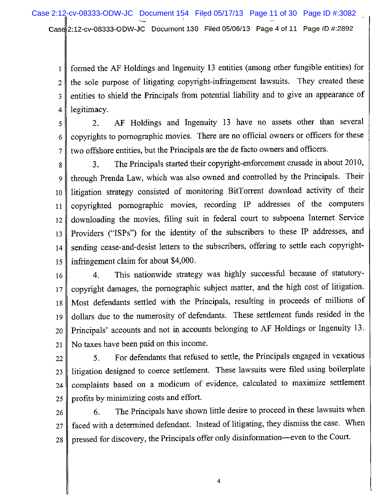formed the AF Holdings and Ingenuity 13 entities (among other fungible entities) for  $\mathbf{1}$ the sole purpose of litigating copyright-infringement lawsuits. They created these  $\overline{2}$ entities to shield the Principals from potential liability and to give an appearance of 3 legitimacy.  $\overline{4}$ 

AF Holdings and Ingenuity 13 have no assets other than several  $2.$ 5 copyrights to pornographic movies. There are no official owners or officers for these 6 two offshore entities, but the Principals are the de facto owners and officers.  $\overline{7}$ 

The Principals started their copyright-enforcement crusade in about 2010, 3. 8 through Prenda Law, which was also owned and controlled by the Principals. Their 9 litigation strategy consisted of monitoring BitTorrent download activity of their 10 copyrighted pornographic movies, recording IP addresses of the computers 11 downloading the movies, filing suit in federal court to subpoena Internet Service 12 Providers ("ISPs") for the identity of the subscribers to these IP addresses, and 13 sending cease-and-desist letters to the subscribers, offering to settle each copyright-14 infringement claim for about \$4,000. 15

- This nationwide strategy was highly successful because of statutory-4. 16 copyright damages, the pornographic subject matter, and the high cost of litigation. 17 Most defendants settled with the Principals, resulting in proceeds of millions of 18 dollars due to the numerosity of defendants. These settlement funds resided in the 19 Principals' accounts and not in accounts belonging to AF Holdings or Ingenuity 13. 20 No taxes have been paid on this income. 21
- 22
- For defendants that refused to settle, the Principals engaged in vexatious  $5<sub>1</sub>$ litigation designed to coerce settlement. These lawsuits were filed using boilerplate 23 complaints based on a modicum of evidence, calculated to maximize settlement 24 profits by minimizing costs and effort. 25

The Principals have shown little desire to proceed in these lawsuits when 6. 26 faced with a determined defendant. Instead of litigating, they dismiss the case. When 27 pressed for discovery, the Principals offer only disinformation—even to the Court. 28

4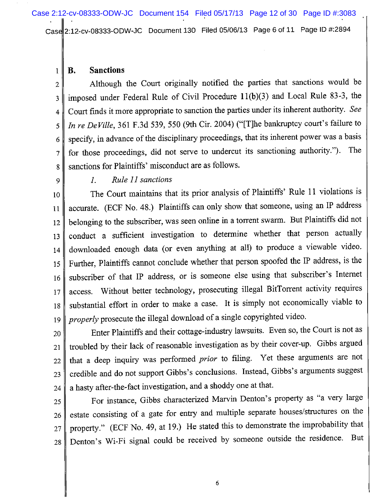Case 2:12-cv-08333-ODW-JC Document 154 Filed 05/17/13 Page 12 of 30 Page ID #:3083

Case 2:12-cv-08333-ODW-JC Document 130 Filed 05/06/13 Page 6 of 11 Page ID #:2894

#### **Sanctions B.**

Although the Court originally notified the parties that sanctions would be  $\overline{2}$ imposed under Federal Rule of Civil Procedure 11(b)(3) and Local Rule 83-3, the 3 Court finds it more appropriate to sanction the parties under its inherent authority. See  $\overline{\mathbf{4}}$ In re DeVille, 361 F.3d 539, 550 (9th Cir. 2004) ("[T]he bankruptcy court's failure to 5 specify, in advance of the disciplinary proceedings, that its inherent power was a basis 6 for those proceedings, did not serve to undercut its sanctioning authority."). The  $\overline{7}$ sanctions for Plaintiffs' misconduct are as follows. 8

9

 $\mathbf{1}$ 

#### $I_{\star}$ Rule 11 sanctions

The Court maintains that its prior analysis of Plaintiffs' Rule 11 violations is 10 accurate. (ECF No. 48.) Plaintiffs can only show that someone, using an IP address  $11$ belonging to the subscriber, was seen online in a torrent swarm. But Plaintiffs did not 12 conduct a sufficient investigation to determine whether that person actually 13 downloaded enough data (or even anything at all) to produce a viewable video. 14 Further, Plaintiffs cannot conclude whether that person spoofed the IP address, is the 15 subscriber of that IP address, or is someone else using that subscriber's Internet 16 access. Without better technology, prosecuting illegal BitTorrent activity requires  $17$ substantial effort in order to make a case. It is simply not economically viable to 18 properly prosecute the illegal download of a single copyrighted video. 19

Enter Plaintiffs and their cottage-industry lawsuits. Even so, the Court is not as 20 troubled by their lack of reasonable investigation as by their cover-up. Gibbs argued 21 that a deep inquiry was performed *prior* to filing. Yet these arguments are not 22 credible and do not support Gibbs's conclusions. Instead, Gibbs's arguments suggest 23 a hasty after-the-fact investigation, and a shoddy one at that. 24

For instance, Gibbs characterized Marvin Denton's property as "a very large 25 estate consisting of a gate for entry and multiple separate houses/structures on the 26 property." (ECF No. 49, at 19.) He stated this to demonstrate the improbability that 27 Denton's Wi-Fi signal could be received by someone outside the residence. But 28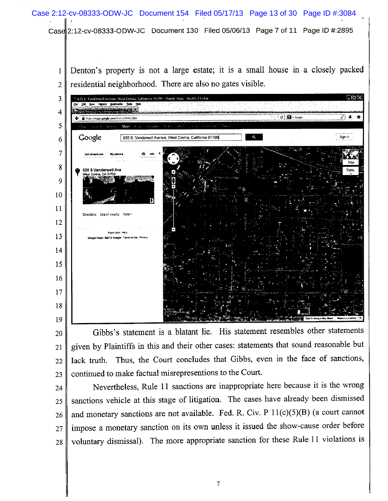# Case 2:12-cv-08333-ODW-JC Document 154 Filed 05/17/13 Page 13 of 30 Page ID #:3084 Case 2:12-cv-08333-ODW-JC Document 130 Filed 05/06/13 Page 7 of 11 Page ID #:2895

Denton's property is not a large estate; it is a small house in a closely packed  $\mathbf{1}$ residential neighborhood. There are also no gates visible.  $\overline{2}$ 



Gibbs's statement is a blatant lie. His statement resembles other statements 20 given by Plaintiffs in this and their other cases: statements that sound reasonable but 21 lack truth. Thus, the Court concludes that Gibbs, even in the face of sanctions, 22 continued to make factual misrepresentions to the Court. 23

Nevertheless, Rule 11 sanctions are inappropriate here because it is the wrong 24 sanctions vehicle at this stage of litigation. The cases have already been dismissed 25 and monetary sanctions are not available. Fed. R. Civ. P 11(c)(5)(B) (a court cannot 26 impose a monetary sanction on its own unless it issued the show-cause order before 27 voluntary dismissal). The more appropriate sanction for these Rule 11 violations is 28

 $\overline{7}$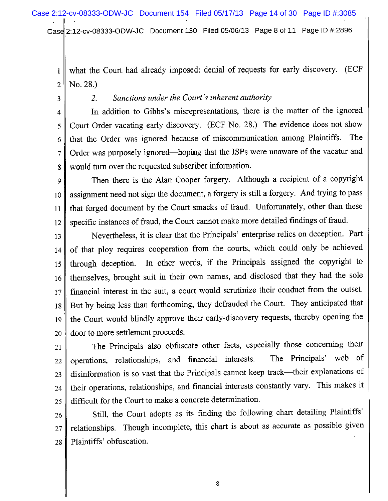Case 2:12-cv-08333-ODW-JC Document 154 Filed 05/17/13 Page 14 of 30 Page ID #:3085

Case 2:12-cv-08333-ODW-JC Document 130 Filed 05/06/13 Page 8 of 11 Page ID #:2896

what the Court had already imposed: denial of requests for early discovery. (ECF  $\mathbf{1}$ No. 28.)  $\overline{2}$ 

> Sanctions under the Court's inherent authority  $\overline{2}$ .

3

6

In addition to Gibbs's misrepresentations, there is the matter of the ignored  $\overline{\mathbf{4}}$ Court Order vacating early discovery. (ECF No. 28.) The evidence does not show 5 that the Order was ignored because of miscommunication among Plaintiffs. The Order was purposely ignored—hoping that the ISPs were unaware of the vacatur and  $\overline{7}$ would turn over the requested subscriber information. 8

Then there is the Alan Cooper forgery. Although a recipient of a copyright 9 assignment need not sign the document, a forgery is still a forgery. And trying to pass 10 that forged document by the Court smacks of fraud. Unfortunately, other than these 11 specific instances of fraud, the Court cannot make more detailed findings of fraud.  $12$ 

Nevertheless, it is clear that the Principals' enterprise relies on deception. Part 13 of that ploy requires cooperation from the courts, which could only be achieved  $14$ In other words, if the Principals assigned the copyright to through deception. 15 themselves, brought suit in their own names, and disclosed that they had the sole 16 financial interest in the suit, a court would scrutinize their conduct from the outset. 17 But by being less than forthcoming, they defrauded the Court. They anticipated that 18 the Court would blindly approve their early-discovery requests, thereby opening the 19 door to more settlement proceeds. 20

The Principals also obfuscate other facts, especially those concerning their 21 operations, relationships, and financial interests. web of The Principals' 22 disinformation is so vast that the Principals cannot keep track—their explanations of 23 their operations, relationships, and financial interests constantly vary. This makes it 24 difficult for the Court to make a concrete determination. 25

Still, the Court adopts as its finding the following chart detailing Plaintiffs' 26 relationships. Though incomplete, this chart is about as accurate as possible given 27 Plaintiffs' obfuscation. 28

 $\bf 8$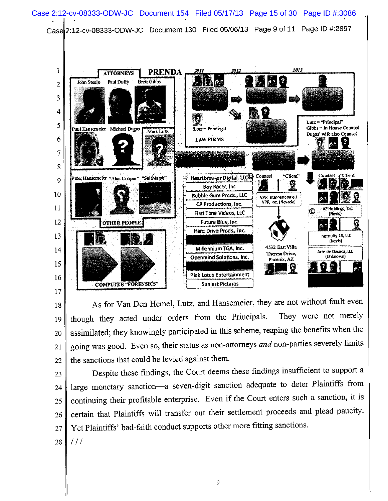

As for Van Den Hemel, Lutz, and Hansemeier, they are not without fault even 18 though they acted under orders from the Principals. They were not merely 19 assimilated; they knowingly participated in this scheme, reaping the benefits when the 20 going was good. Even so, their status as non-attorneys and non-parties severely limits 21 the sanctions that could be levied against them. 22

Despite these findings, the Court deems these findings insufficient to support a 23 large monetary sanction-a seven-digit sanction adequate to deter Plaintiffs from 24 continuing their profitable enterprise. Even if the Court enters such a sanction, it is 25 certain that Plaintiffs will transfer out their settlement proceeds and plead paucity. 26 Yet Plaintiffs' bad-faith conduct supports other more fitting sanctions. 27

28  $111$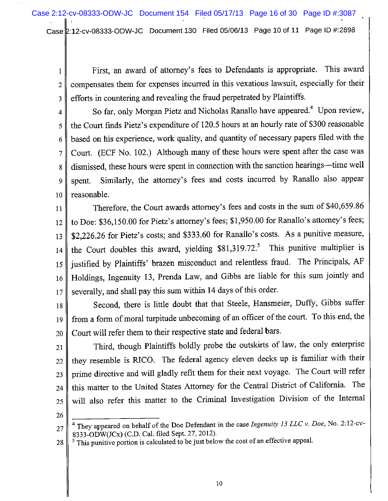Case 2:12-cv-08333-ODW-JC Document 130 Filed 05/06/13 Page 10 of 11 Page ID #:2898

First, an award of attorney's fees to Defendants is appropriate. This award  $\mathbf{I}$ compensates them for expenses incurred in this vexatious lawsuit, especially for their  $\overline{2}$ efforts in countering and revealing the fraud perpetrated by Plaintiffs. 3

So far, only Morgan Pietz and Nicholas Ranallo have appeared.<sup>4</sup> Upon review,  $\overline{\mathbf{4}}$ the Court finds Pietz's expenditure of 120.5 hours at an hourly rate of \$300 reasonable 5 based on his experience, work quality, and quantity of necessary papers filed with the 6 Court. (ECF No. 102.) Although many of these hours were spent after the case was  $\overline{7}$ dismissed, these hours were spent in connection with the sanction hearings—time well 8 Similarly, the attorney's fees and costs incurred by Ranallo also appear spent.  $\mathbf Q$ reasonable. 10

Therefore, the Court awards attorney's fees and costs in the sum of \$40,659.86 11 to Doe: \$36,150.00 for Pietz's attorney's fees; \$1,950.00 for Ranallo's attorney's fees;  $12$ \$2,226.26 for Pietz's costs; and \$333.60 for Ranallo's costs. As a punitive measure, 13 the Court doubles this award, yielding \$81,319.72.<sup>5</sup> This punitive multiplier is 14 justified by Plaintiffs' brazen misconduct and relentless fraud. The Principals, AF 15 Holdings, Ingenuity 13, Prenda Law, and Gibbs are liable for this sum jointly and 16 severally, and shall pay this sum within 14 days of this order. 17

Second, there is little doubt that that Steele, Hansmeier, Duffy, Gibbs suffer 18 from a form of moral turpitude unbecoming of an officer of the court. To this end, the 19 Court will refer them to their respective state and federal bars. 20

Third, though Plaintiffs boldly probe the outskirts of law, the only enterprise 21 they resemble is RICO. The federal agency eleven decks up is familiar with their 22 prime directive and will gladly refit them for their next voyage. The Court will refer 23 this matter to the United States Attorney for the Central District of California. The 24 will also refer this matter to the Criminal Investigation Division of the Internal 25

26

<sup>&</sup>lt;sup>4</sup> They appeared on behalf of the Doe Defendant in the case *Ingenuity 13 LLC v. Doe*, No. 2:12-cv-27 8333-ODW(JCx) (C.D. Cal. filed Sept. 27, 2012).

 $5$  This punitive portion is calculated to be just below the cost of an effective appeal. 28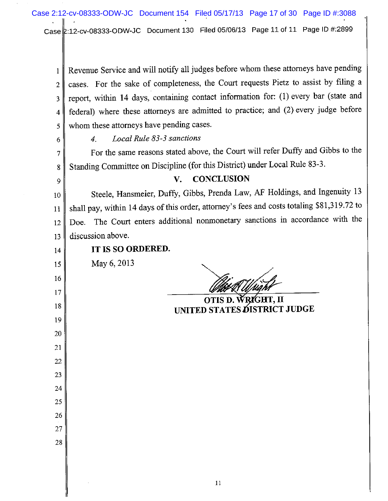Case 2:12-cv-08333-ODW-JC Document 130 Filed 05/06/13 Page 11 of 11 Page ID #:2899

Revenue Service and will notify all judges before whom these attorneys have pending  $\mathbf{1}$ cases. For the sake of completeness, the Court requests Pietz to assist by filing a  $\overline{2}$ report, within 14 days, containing contact information for: (1) every bar (state and  $\overline{3}$ federal) where these attorneys are admitted to practice; and (2) every judge before  $\overline{4}$ whom these attorneys have pending cases. 5

6

 $\overline{7}$ 

8

9

15

16

17

18

19

20

21

22

23

24

25

26

27

28

Local Rule 83-3 sanctions  $\overline{4}$ .

For the same reasons stated above, the Court will refer Duffy and Gibbs to the Standing Committee on Discipline (for this District) under Local Rule 83-3.

#### **CONCLUSION**  $V_{-}$

Steele, Hansmeier, Duffy, Gibbs, Prenda Law, AF Holdings, and Ingenuity 13 10 shall pay, within 14 days of this order, attorney's fees and costs totaling \$81,319.72 to 11 Doe. The Court enters additional nonmonetary sanctions in accordance with the  $12$ discussion above. 13

IT IS SO ORDERED. 14

May 6, 2013

WRIGHT. II OTI UNITED STATES DISTRICT JUDGE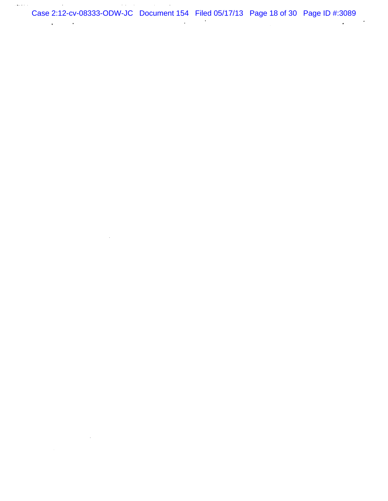Case 2:12-cv-08333-ODW-JC Document 154 Filed 05/17/13 Page 18 of 30 Page ID #:3089

 $\mathcal{L}_{\rm{max}}$ 

 $\mathcal{L}^{\mathcal{L}}(\mathcal{L}^{\mathcal{L}})$  and  $\mathcal{L}^{\mathcal{L}}(\mathcal{L}^{\mathcal{L}})$  and  $\mathcal{L}^{\mathcal{L}}(\mathcal{L}^{\mathcal{L}})$  and  $\mathcal{L}^{\mathcal{L}}(\mathcal{L}^{\mathcal{L}})$  and  $\mathcal{L}^{\mathcal{L}}(\mathcal{L}^{\mathcal{L}})$ 

 $\sim 10^{-11}$ 

أأراد والصد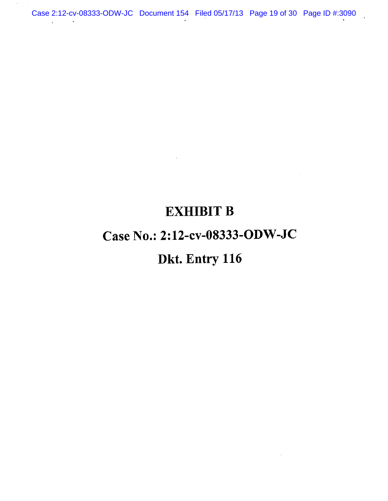Case 2:12-cv-08333-ODW-JC Document 154 Filed 05/17/13 Page 19 of 30 Page ID #:3090

## **EXHIBIT B**

### Case No.: 2:12-cv-08333-ODW-JC

# Dkt. Entry 116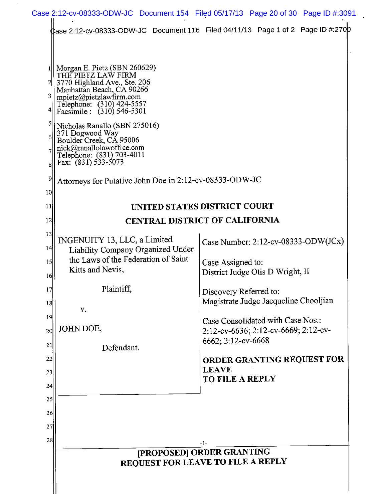|                           | Case 2:12-cv-08333-ODW-JC Document 154 Filed 05/17/13 Page 20 of 30 Page ID #:3091                                                                                                                                                                                                                                                                                                                                              |                                                                                                 |  |
|---------------------------|---------------------------------------------------------------------------------------------------------------------------------------------------------------------------------------------------------------------------------------------------------------------------------------------------------------------------------------------------------------------------------------------------------------------------------|-------------------------------------------------------------------------------------------------|--|
|                           | $\sharp$ ase 2:12-cv-08333-ODW-JC Document 116 Filed 04/11/13 Page 1 of 2 Page ID #:270 $\flat$                                                                                                                                                                                                                                                                                                                                 |                                                                                                 |  |
| 8<br>9<br>10 <sup>1</sup> | Morgan E. Pietz (SBN 260629)<br>THE PIETZ LAW FIRM<br>3770 Highland Ave., Ste. 206<br>Manhattan Beach, CA 90266<br>mpietz@pietzlawfirm.com<br>Telephone: (310) 424-5557<br>Facsimile: (310) 546-5301<br>Nicholas Ranallo (SBN 275016)<br>371 Dogwood Way<br>Boulder Creek, CA 95006<br>nick@ranallolawoffice.com<br>Telephone: (831) 703-4011<br>Fax: (831) 533-5073<br>Attorneys for Putative John Doe in 2:12-cv-08333-ODW-JC |                                                                                                 |  |
| 11                        |                                                                                                                                                                                                                                                                                                                                                                                                                                 | UNITED STATES DISTRICT COURT                                                                    |  |
|                           |                                                                                                                                                                                                                                                                                                                                                                                                                                 |                                                                                                 |  |
| 12<br>13                  | INGENUITY 13, LLC, a Limited                                                                                                                                                                                                                                                                                                                                                                                                    | <b>CENTRAL DISTRICT OF CALIFORNIA</b><br>Case Number: $2:12$ -cv-08333-ODW(JCx)                 |  |
| 4 <br>15<br>16            | Liability Company Organized Under<br>the Laws of the Federation of Saint<br>Kitts and Nevis,                                                                                                                                                                                                                                                                                                                                    | Case Assigned to:<br>District Judge Otis D Wright, II                                           |  |
| 17<br>18                  | Plaintiff,<br>V.                                                                                                                                                                                                                                                                                                                                                                                                                | Discovery Referred to:<br>Magistrate Judge Jacqueline Chooljian                                 |  |
| 19 <sup>1</sup><br>20     | JOHN DOE,                                                                                                                                                                                                                                                                                                                                                                                                                       | Case Consolidated with Case Nos.:<br>2:12-cv-6636; 2:12-cv-6669; 2:12-cv-<br>6662; 2:12-cv-6668 |  |
| 21<br>22<br>23            | Defendant.                                                                                                                                                                                                                                                                                                                                                                                                                      | ORDER GRANTING REQUEST FOR<br><b>LEAVE</b><br><b>TO FILE A REPLY</b>                            |  |
| 24<br>25                  |                                                                                                                                                                                                                                                                                                                                                                                                                                 |                                                                                                 |  |
| 26<br>27                  |                                                                                                                                                                                                                                                                                                                                                                                                                                 |                                                                                                 |  |
| 28                        |                                                                                                                                                                                                                                                                                                                                                                                                                                 | -1-                                                                                             |  |
|                           |                                                                                                                                                                                                                                                                                                                                                                                                                                 | [PROPOSED] ORDER GRANTING<br>REQUEST FOR LEAVE TO FILE A REPLY                                  |  |
|                           |                                                                                                                                                                                                                                                                                                                                                                                                                                 |                                                                                                 |  |

 $\mathcal{S}_{\mathcal{S}}$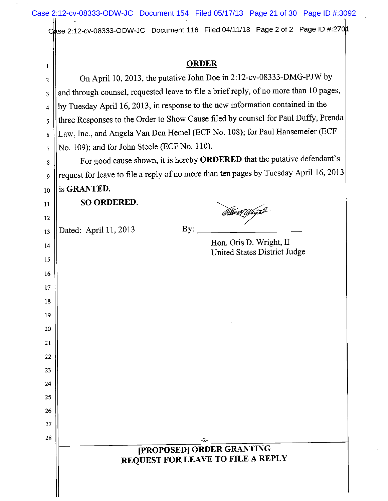|                | Case 2:12-cv-08333-ODW-JC Document 154 Filed 05/17/13 Page 21 of 30 Page ID #:3092                 |  |  |  |  |  |  |
|----------------|----------------------------------------------------------------------------------------------------|--|--|--|--|--|--|
|                | $Q_{\text{d}}$ se 2:12-cv-08333-ODW-JC Document 116 Filed 04/11/13 Page 2 of 2 Page ID #:270 $\mu$ |  |  |  |  |  |  |
|                |                                                                                                    |  |  |  |  |  |  |
| 1              | <b>ORDER</b>                                                                                       |  |  |  |  |  |  |
| $\overline{c}$ | On April 10, 2013, the putative John Doe in 2:12-cv-08333-DMG-PJW by                               |  |  |  |  |  |  |
| 3              | and through counsel, requested leave to file a brief reply, of no more than 10 pages,              |  |  |  |  |  |  |
| 4              | by Tuesday April 16, 2013, in response to the new information contained in the                     |  |  |  |  |  |  |
| 5              | three Responses to the Order to Show Cause filed by counsel for Paul Duffy, Prenda                 |  |  |  |  |  |  |
| 6              | Law, Inc., and Angela Van Den Hemel (ECF No. 108); for Paul Hansemeier (ECF                        |  |  |  |  |  |  |
| 7              | No. 109); and for John Steele (ECF No. 110).                                                       |  |  |  |  |  |  |
| 8              | For good cause shown, it is hereby ORDERED that the putative defendant's                           |  |  |  |  |  |  |
| 9              | request for leave to file a reply of no more than ten pages by Tuesday April 16, 2013              |  |  |  |  |  |  |
| 10             | is GRANTED.                                                                                        |  |  |  |  |  |  |
| 11             | <b>SO ORDERED.</b>                                                                                 |  |  |  |  |  |  |
| 12             | <i>Absert</i> (Ungri                                                                               |  |  |  |  |  |  |
| 13             | By:<br>Dated: April 11, 2013                                                                       |  |  |  |  |  |  |
| 14             | Hon. Otis D. Wright, II<br>United States District Judge                                            |  |  |  |  |  |  |
| 15             |                                                                                                    |  |  |  |  |  |  |
| 16             |                                                                                                    |  |  |  |  |  |  |
| 17             |                                                                                                    |  |  |  |  |  |  |
| 18             |                                                                                                    |  |  |  |  |  |  |
| 19             |                                                                                                    |  |  |  |  |  |  |
| 20             |                                                                                                    |  |  |  |  |  |  |
| 21             |                                                                                                    |  |  |  |  |  |  |
| 22             |                                                                                                    |  |  |  |  |  |  |
| 23             |                                                                                                    |  |  |  |  |  |  |
| 24             |                                                                                                    |  |  |  |  |  |  |
| 25             |                                                                                                    |  |  |  |  |  |  |
| 26             |                                                                                                    |  |  |  |  |  |  |
| 27             |                                                                                                    |  |  |  |  |  |  |

 $\alpha$ 

28

PROPOSED ORDER GRANTING<br>REQUEST FOR LEAVE TO FILE A REPLY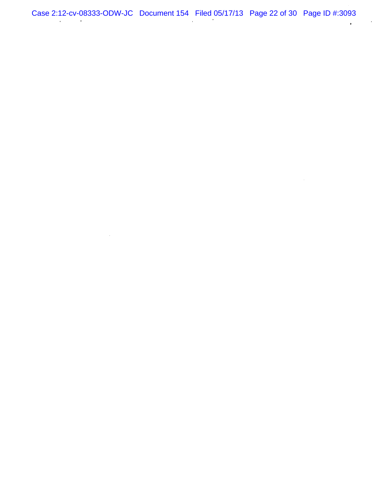Case 2:12-cv-08333-ODW-JC Document 154 Filed 05/17/13 Page 22 of 30 Page ID #:3093

 $\sim 10^{11}$  km s  $^{-1}$ 

 $\frac{1}{2}$  and  $\frac{1}{2}$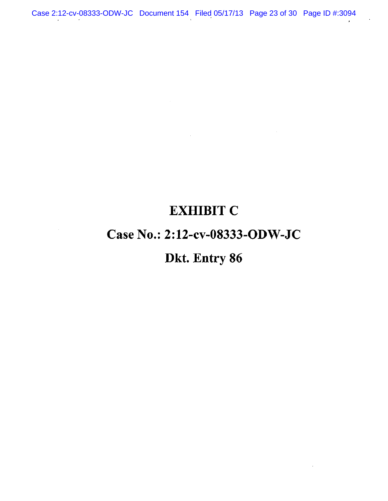Case 2:12-cv-08333-ODW-JC Document 154 Filed 05/17/13 Page 23 of 30 Page ID #:3094

## **EXHIBIT C**

### Case No.: 2:12-cv-08333-ODW-JC

### Dkt. Entry 86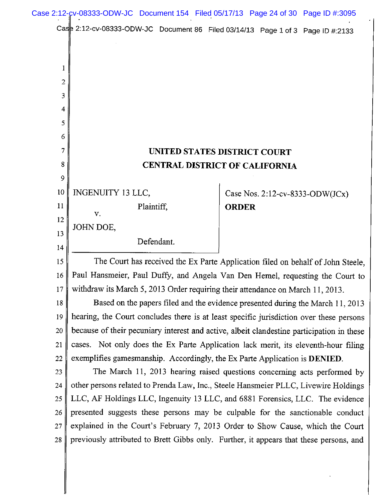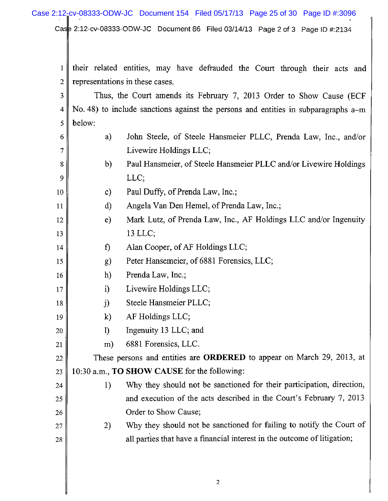#### Case 2:12-cv-08333-ODW-JC Document 154 Filed 05/17/13 Page 25 of 30 Page ID #:3096 Case 2:12-cv-08333-ODW-JC Document 86 Filed 03/14/13 Page 2 of 3 Page ID #:2134

their related entities, may have defrauded the Court through their acts and  $\mathbf{1}$ representations in these cases.  $\overline{2}$ 

3 Thus, the Court amends its February 7, 2013 Order to Show Cause (ECF No. 48) to include sanctions against the persons and entities in subparagraphs a-m  $\overline{4}$ below: 5

- John Steele, of Steele Hansmeier PLLC, Prenda Law, Inc., and/or a) Livewire Holdings LLC;
- Paul Hansmeier, of Steele Hansmeier PLLC and/or Livewire Holdings b) LLC:
- Paul Duffy, of Prenda Law, Inc.: c)
	- Angela Van Den Hemel, of Prenda Law, Inc.:  $\mathbf{d}$
- Mark Lutz, of Prenda Law, Inc., AF Holdings LLC and/or Ingenuity 12  $\epsilon$ ) 13 LLC: 13
- Alan Cooper, of AF Holdings LLC; 14  $f$ 
	- Peter Hansemeier, of 6881 Forensics, LLC;  $g)$
- Prenda Law, Inc.;  $h)$ 16

6

 $\overline{7}$ 

8

 $\overline{Q}$ 

10

 $11$ 

15

20

21

22

23

24

25

26

27

28

- Livewire Holdings LLC;  $\ddot{1}$  $17$
- Steele Hansmeier PLLC; 18  $\ddot{1}$
- AF Holdings LLC;  $\bf k$ 19
	- Ingenuity 13 LLC; and  $\mathbf{D}$ 
		- 6881 Forensics, LLC.  $m)$

These persons and entities are **ORDERED** to appear on March 29, 2013, at 10:30 a.m., TO SHOW CAUSE for the following:

- Why they should not be sanctioned for their participation, direction,  $1)$ and execution of the acts described in the Court's February 7, 2013 Order to Show Cause:
- Why they should not be sanctioned for failing to notify the Court of  $2)$ all parties that have a financial interest in the outcome of litigation;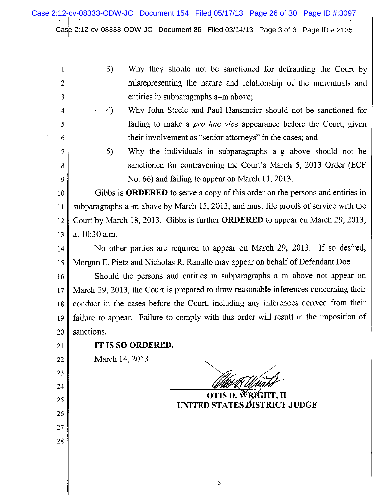Case 2:12-cv-08333-ODW-JC Document 86 Filed 03/14/13 Page 3 of 3 Page ID #:2135

- $3)$ Why they should not be sanctioned for defrauding the Court by misrepresenting the nature and relationship of the individuals and entities in subparagraphs a-m above:
- Why John Steele and Paul Hansmeier should not be sanctioned for  $4)$ failing to make a *pro hac vice* appearance before the Court, given their involvement as "senior attorneys" in the cases; and
	- $5)$ Why the individuals in subparagraphs  $a-g$  above should not be sanctioned for contravening the Court's March 5, 2013 Order (ECF) No. 66) and failing to appear on March 11, 2013.

Gibbs is **ORDERED** to serve a copy of this order on the persons and entities in 10 subparagraphs a–m above by March 15, 2013, and must file proofs of service with the 11 Court by March 18, 2013. Gibbs is further **ORDERED** to appear on March 29, 2013, 12 at 10:30 a.m. 13

No other parties are required to appear on March 29, 2013. If so desired, 14 Morgan E. Pietz and Nicholas R. Ranallo may appear on behalf of Defendant Doe. 15

Should the persons and entities in subparagraphs a-m above not appear on 16 March 29, 2013, the Court is prepared to draw reasonable inferences concerning their 17 conduct in the cases before the Court, including any inferences derived from their 18 failure to appear. Failure to comply with this order will result in the imposition of 19 sanctions. 20

IT IS SO ORDERED.

 $\mathbf{1}$ 

 $\overline{2}$ 

3

 $\overline{\mathbf{4}}$ 

5

6

7

8

9

21

22

23

24

25

26

27

28

March 14, 2013

WRIGHT. II **UNITED STATES DISTRICT JUDGE** 

3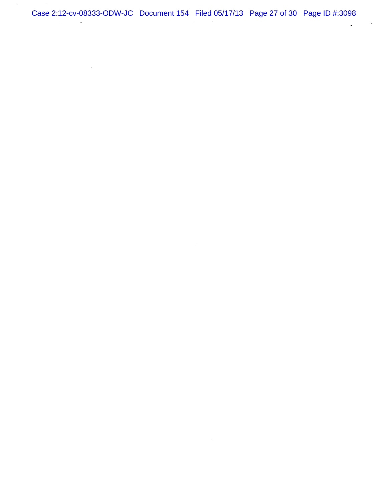$\epsilon$  and  $\epsilon$ 

 $\mathbf{u}^{\dagger}$ 

 $\mathcal{L}$ 

**Carl Commercial**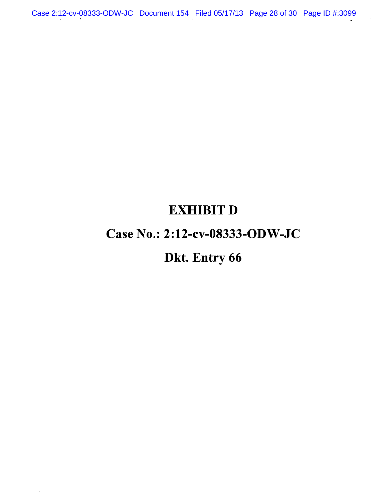Case 2:12-cv-08333-ODW-JC Document 154 Filed 05/17/13 Page 28 of 30 Page ID #:3099

### **EXHIBIT D**

### Case No.: 2:12-cv-08333-ODW-JC

### Dkt. Entry 66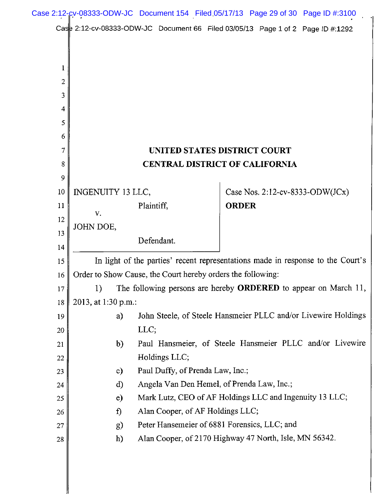|                |                                                                                 | Case 2:12-cv-08333-ODW-JC Document 154 Filed 05/17/13 Page 29 of 30 Page ID #:3100 |              |                                    |                                                                |  |
|----------------|---------------------------------------------------------------------------------|------------------------------------------------------------------------------------|--------------|------------------------------------|----------------------------------------------------------------|--|
|                |                                                                                 | Case 2:12-cv-08333-ODW-JC Document 66 Filed 03/05/13 Page 1 of 2 Page ID #:1292    |              |                                    |                                                                |  |
|                |                                                                                 |                                                                                    |              |                                    |                                                                |  |
|                |                                                                                 |                                                                                    |              |                                    |                                                                |  |
| 1              |                                                                                 |                                                                                    |              |                                    |                                                                |  |
| $\overline{2}$ |                                                                                 |                                                                                    |              |                                    |                                                                |  |
| 3              |                                                                                 |                                                                                    |              |                                    |                                                                |  |
| 4              |                                                                                 |                                                                                    |              |                                    |                                                                |  |
| 5              |                                                                                 |                                                                                    |              |                                    |                                                                |  |
|                | 6                                                                               |                                                                                    |              |                                    |                                                                |  |
|                | UNITED STATES DISTRICT COURT<br>7<br><b>CENTRAL DISTRICT OF CALIFORNIA</b>      |                                                                                    |              |                                    |                                                                |  |
| 8              |                                                                                 |                                                                                    |              |                                    |                                                                |  |
| 9<br>10        | INGENUITY 13 LLC,                                                               |                                                                                    |              |                                    |                                                                |  |
| 11             |                                                                                 | Plaintiff,                                                                         | <b>ORDER</b> | Case Nos. $2:12$ -cv-8333-ODW(JCx) |                                                                |  |
| 12             | v.                                                                              |                                                                                    |              |                                    |                                                                |  |
| 13             | JOHN DOE,                                                                       |                                                                                    |              |                                    |                                                                |  |
| 14             |                                                                                 | Defendant.                                                                         |              |                                    |                                                                |  |
| 15             | In light of the parties' recent representations made in response to the Court's |                                                                                    |              |                                    |                                                                |  |
| 16             |                                                                                 | Order to Show Cause, the Court hereby orders the following:                        |              |                                    |                                                                |  |
| 17             | The following persons are hereby ORDERED to appear on March 11,<br>1)           |                                                                                    |              |                                    |                                                                |  |
| 18             | 2013, at 1:30 p.m.:                                                             |                                                                                    |              |                                    |                                                                |  |
| 19             | a)                                                                              |                                                                                    |              |                                    | John Steele, of Steele Hansmeier PLLC and/or Livewire Holdings |  |
| 20             | LLC;                                                                            |                                                                                    |              |                                    |                                                                |  |
| 21             | Paul Hansmeier, of Steele Hansmeier PLLC and/or Livewire<br>b)                  |                                                                                    |              |                                    |                                                                |  |
| 22             | Holdings LLC;                                                                   |                                                                                    |              |                                    |                                                                |  |
| 23             | Paul Duffy, of Prenda Law, Inc.;<br>c)                                          |                                                                                    |              |                                    |                                                                |  |
| 24             | Angela Van Den Hemel, of Prenda Law, Inc.;<br>d)                                |                                                                                    |              |                                    |                                                                |  |
| 25             | e)                                                                              | Mark Lutz, CEO of AF Holdings LLC and Ingenuity 13 LLC;                            |              |                                    |                                                                |  |
| 26             | f)                                                                              | Alan Cooper, of AF Holdings LLC;                                                   |              |                                    |                                                                |  |
| 27             | g)                                                                              | Peter Hansemeier of 6881 Forensics, LLC; and                                       |              |                                    |                                                                |  |
| 28             | h)                                                                              | Alan Cooper, of 2170 Highway 47 North, Isle, MN 56342.                             |              |                                    |                                                                |  |